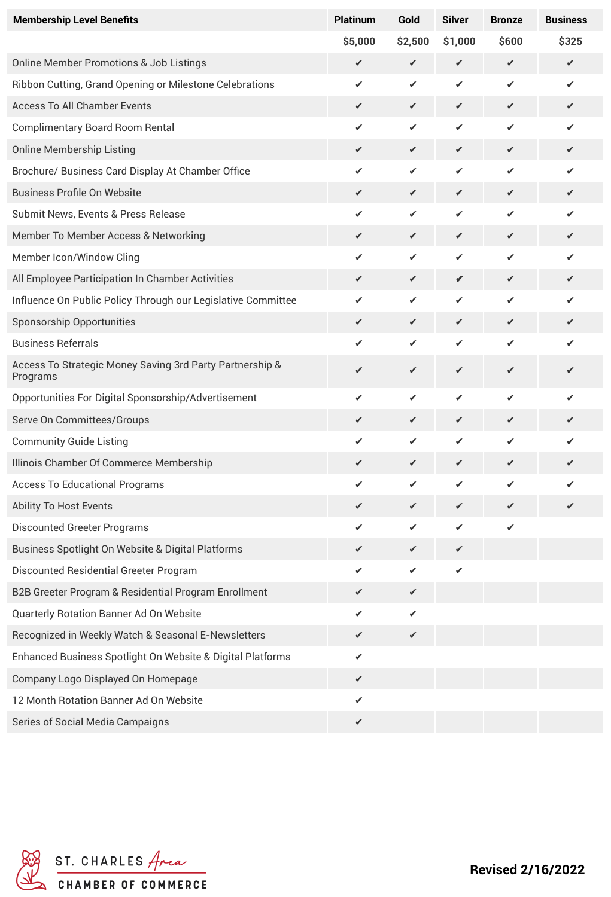| <b>Membership Level Benefits</b>                                     | <b>Platinum</b> | Gold    | <b>Silver</b> | <b>Bronze</b> | <b>Business</b> |
|----------------------------------------------------------------------|-----------------|---------|---------------|---------------|-----------------|
|                                                                      | \$5,000         | \$2,500 | \$1,000       | \$600         | \$325           |
| <b>Online Member Promotions &amp; Job Listings</b>                   | ✔               | ✔       | $\checkmark$  | $\checkmark$  | ✔               |
| Ribbon Cutting, Grand Opening or Milestone Celebrations              | ✔               | ✔       | ✔             | ✔             | ✔               |
| <b>Access To All Chamber Events</b>                                  | ✔               | ✔       | $\checkmark$  | ✔             | ✔               |
| <b>Complimentary Board Room Rental</b>                               | ✔               | ✔       | ✔             | ✔             | ✔               |
| <b>Online Membership Listing</b>                                     | ✔               | ✔       | $\checkmark$  | ✔             | ✔               |
| Brochure/ Business Card Display At Chamber Office                    | ✔               | ✔       | ✔             | ✔             | ✔               |
| <b>Business Profile On Website</b>                                   | ✔               | ✔       | $\checkmark$  | ✔             | ✔               |
| Submit News, Events & Press Release                                  | ✔               | ✔       | ✔             | ✔             | ✔               |
| Member To Member Access & Networking                                 | ✔               | ✔       | ✔             | ✔             | ✔               |
| Member Icon/Window Cling                                             | ✔               | ✔       | ✔             | ✔             | ✔               |
| All Employee Participation In Chamber Activities                     | ✔               | ✔       | ✔             | ✔             | ✔               |
| Influence On Public Policy Through our Legislative Committee         | ✔               | ✓       | ✔             | ✔             | ✔               |
| <b>Sponsorship Opportunities</b>                                     | ✔               | ✔       | ✔             | ✔             | ✓               |
| <b>Business Referrals</b>                                            | ✔               | ✔       | ✔             | ✔             | ✔               |
| Access To Strategic Money Saving 3rd Party Partnership &<br>Programs | ✔               | ✓       | $\checkmark$  | ✔             | ✔               |
| Opportunities For Digital Sponsorship/Advertisement                  | ✔               | ✓       | ✔             | ✔             | ✔               |
| Serve On Committees/Groups                                           | ✔               | ✔       | ✔             | ✔             | ✔               |
| <b>Community Guide Listing</b>                                       | ✔               | ✔       | ✔             | ✔             | ✔               |
| Illinois Chamber Of Commerce Membership                              | ✔               | ✔       | ✔             | ✔             | ✔               |
| <b>Access To Educational Programs</b>                                |                 |         |               |               |                 |
| <b>Ability To Host Events</b>                                        | ✔               | ✔       | ✔             | ✔             |                 |
| <b>Discounted Greeter Programs</b>                                   | ✔               | ✔       | ✔             | ✔             |                 |
| Business Spotlight On Website & Digital Platforms                    | ✔               | ✔       | ✔             |               |                 |
| Discounted Residential Greeter Program                               | ✔               | ✔       | ✔             |               |                 |
| B2B Greeter Program & Residential Program Enrollment                 | ✔               | ✔       |               |               |                 |
| Quarterly Rotation Banner Ad On Website                              | ✔               | ✔       |               |               |                 |
| Recognized in Weekly Watch & Seasonal E-Newsletters                  | ✔               | ✔       |               |               |                 |
| Enhanced Business Spotlight On Website & Digital Platforms           | ✔               |         |               |               |                 |
| Company Logo Displayed On Homepage                                   | ✔               |         |               |               |                 |
| 12 Month Rotation Banner Ad On Website                               | ✔               |         |               |               |                 |
| Series of Social Media Campaigns                                     | ✔               |         |               |               |                 |